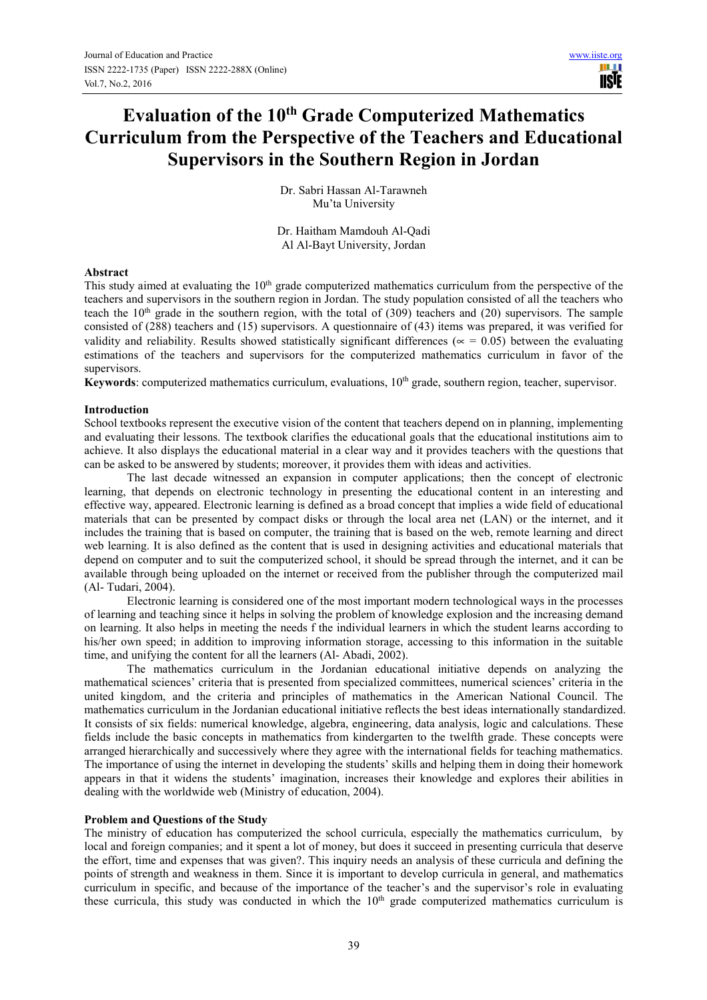**USIE** 

# **Evaluation of the 10th Grade Computerized Mathematics Curriculum from the Perspective of the Teachers and Educational Supervisors in the Southern Region in Jordan**

Dr. Sabri Hassan Al-Tarawneh Mu'ta University

Dr. Haitham Mamdouh Al-Qadi Al Al-Bayt University, Jordan

#### **Abstract**

This study aimed at evaluating the 10<sup>th</sup> grade computerized mathematics curriculum from the perspective of the teachers and supervisors in the southern region in Jordan. The study population consisted of all the teachers who teach the  $10<sup>th</sup>$  grade in the southern region, with the total of (309) teachers and (20) supervisors. The sample consisted of (288) teachers and (15) supervisors. A questionnaire of (43) items was prepared, it was verified for validity and reliability. Results showed statistically significant differences ( $\approx$  = 0.05) between the evaluating estimations of the teachers and supervisors for the computerized mathematics curriculum in favor of the supervisors.

Keywords: computerized mathematics curriculum, evaluations, 10<sup>th</sup> grade, southern region, teacher, supervisor.

## **Introduction**

School textbooks represent the executive vision of the content that teachers depend on in planning, implementing and evaluating their lessons. The textbook clarifies the educational goals that the educational institutions aim to achieve. It also displays the educational material in a clear way and it provides teachers with the questions that can be asked to be answered by students; moreover, it provides them with ideas and activities.

The last decade witnessed an expansion in computer applications; then the concept of electronic learning, that depends on electronic technology in presenting the educational content in an interesting and effective way, appeared. Electronic learning is defined as a broad concept that implies a wide field of educational materials that can be presented by compact disks or through the local area net (LAN) or the internet, and it includes the training that is based on computer, the training that is based on the web, remote learning and direct web learning. It is also defined as the content that is used in designing activities and educational materials that depend on computer and to suit the computerized school, it should be spread through the internet, and it can be available through being uploaded on the internet or received from the publisher through the computerized mail (Al- Tudari, 2004).

Electronic learning is considered one of the most important modern technological ways in the processes of learning and teaching since it helps in solving the problem of knowledge explosion and the increasing demand on learning. It also helps in meeting the needs f the individual learners in which the student learns according to his/her own speed; in addition to improving information storage, accessing to this information in the suitable time, and unifying the content for all the learners (Al- Abadi, 2002).

The mathematics curriculum in the Jordanian educational initiative depends on analyzing the mathematical sciences' criteria that is presented from specialized committees, numerical sciences' criteria in the united kingdom, and the criteria and principles of mathematics in the American National Council. The mathematics curriculum in the Jordanian educational initiative reflects the best ideas internationally standardized. It consists of six fields: numerical knowledge, algebra, engineering, data analysis, logic and calculations. These fields include the basic concepts in mathematics from kindergarten to the twelfth grade. These concepts were arranged hierarchically and successively where they agree with the international fields for teaching mathematics. The importance of using the internet in developing the students' skills and helping them in doing their homework appears in that it widens the students' imagination, increases their knowledge and explores their abilities in dealing with the worldwide web (Ministry of education, 2004).

#### **Problem and Questions of the Study**

The ministry of education has computerized the school curricula, especially the mathematics curriculum, by local and foreign companies; and it spent a lot of money, but does it succeed in presenting curricula that deserve the effort, time and expenses that was given?. This inquiry needs an analysis of these curricula and defining the points of strength and weakness in them. Since it is important to develop curricula in general, and mathematics curriculum in specific, and because of the importance of the teacher's and the supervisor's role in evaluating these curricula, this study was conducted in which the 10<sup>th</sup> grade computerized mathematics curriculum is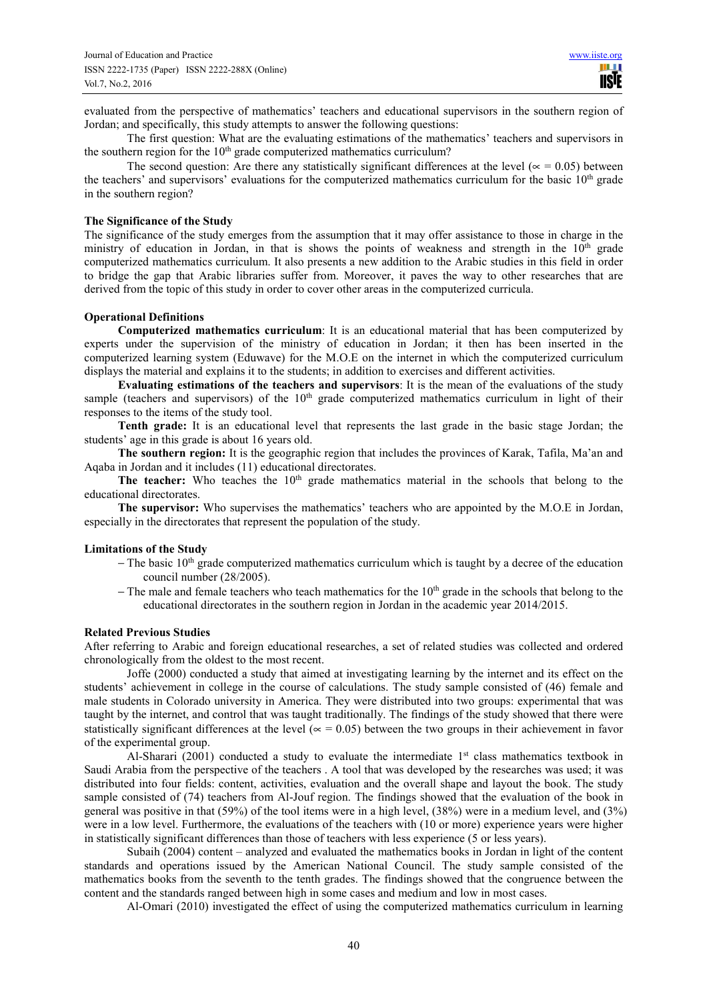evaluated from the perspective of mathematics' teachers and educational supervisors in the southern region of Jordan; and specifically, this study attempts to answer the following questions:

The first question: What are the evaluating estimations of the mathematics' teachers and supervisors in the southern region for the  $10<sup>th</sup>$  grade computerized mathematics curriculum?

The second question: Are there any statistically significant differences at the level ( $\alpha$  = 0.05) between the teachers' and supervisors' evaluations for the computerized mathematics curriculum for the basic 10<sup>th</sup> grade in the southern region?

#### **The Significance of the Study**

The significance of the study emerges from the assumption that it may offer assistance to those in charge in the ministry of education in Jordan, in that is shows the points of weakness and strength in the  $10<sup>th</sup>$  grade computerized mathematics curriculum. It also presents a new addition to the Arabic studies in this field in order to bridge the gap that Arabic libraries suffer from. Moreover, it paves the way to other researches that are derived from the topic of this study in order to cover other areas in the computerized curricula.

#### **Operational Definitions**

**Computerized mathematics curriculum**: It is an educational material that has been computerized by experts under the supervision of the ministry of education in Jordan; it then has been inserted in the computerized learning system (Eduwave) for the M.O.E on the internet in which the computerized curriculum displays the material and explains it to the students; in addition to exercises and different activities.

**Evaluating estimations of the teachers and supervisors**: It is the mean of the evaluations of the study sample (teachers and supervisors) of the  $10<sup>th</sup>$  grade computerized mathematics curriculum in light of their responses to the items of the study tool.

**Tenth grade:** It is an educational level that represents the last grade in the basic stage Jordan; the students' age in this grade is about 16 years old.

**The southern region:** It is the geographic region that includes the provinces of Karak, Tafila, Ma'an and Aqaba in Jordan and it includes (11) educational directorates.

**The teacher:** Who teaches the 10<sup>th</sup> grade mathematics material in the schools that belong to the educational directorates.

**The supervisor:** Who supervises the mathematics' teachers who are appointed by the M.O.E in Jordan, especially in the directorates that represent the population of the study.

#### **Limitations of the Study**

- − The basic 10<sup>th</sup> grade computerized mathematics curriculum which is taught by a decree of the education council number (28/2005).
- − The male and female teachers who teach mathematics for the 10<sup>th</sup> grade in the schools that belong to the educational directorates in the southern region in Jordan in the academic year 2014/2015.

#### **Related Previous Studies**

After referring to Arabic and foreign educational researches, a set of related studies was collected and ordered chronologically from the oldest to the most recent.

Joffe (2000) conducted a study that aimed at investigating learning by the internet and its effect on the students' achievement in college in the course of calculations. The study sample consisted of (46) female and male students in Colorado university in America. They were distributed into two groups: experimental that was taught by the internet, and control that was taught traditionally. The findings of the study showed that there were statistically significant differences at the level ( $\approx$  = 0.05) between the two groups in their achievement in favor of the experimental group.

Al-Sharari (2001) conducted a study to evaluate the intermediate  $1<sup>st</sup>$  class mathematics textbook in Saudi Arabia from the perspective of the teachers . A tool that was developed by the researches was used; it was distributed into four fields: content, activities, evaluation and the overall shape and layout the book. The study sample consisted of (74) teachers from Al-Jouf region. The findings showed that the evaluation of the book in general was positive in that (59%) of the tool items were in a high level, (38%) were in a medium level, and (3%) were in a low level. Furthermore, the evaluations of the teachers with (10 or more) experience years were higher in statistically significant differences than those of teachers with less experience (5 or less years).

Subaih (2004) content – analyzed and evaluated the mathematics books in Jordan in light of the content standards and operations issued by the American National Council. The study sample consisted of the mathematics books from the seventh to the tenth grades. The findings showed that the congruence between the content and the standards ranged between high in some cases and medium and low in most cases.

Al-Omari (2010) investigated the effect of using the computerized mathematics curriculum in learning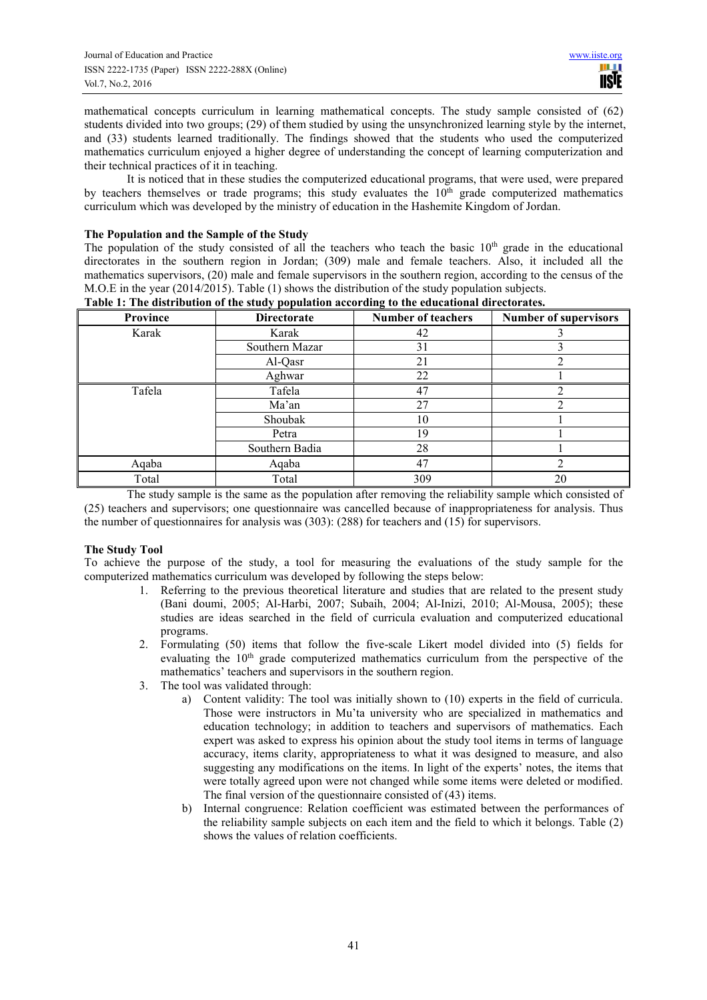mathematical concepts curriculum in learning mathematical concepts. The study sample consisted of (62) students divided into two groups; (29) of them studied by using the unsynchronized learning style by the internet, and (33) students learned traditionally. The findings showed that the students who used the computerized mathematics curriculum enjoyed a higher degree of understanding the concept of learning computerization and their technical practices of it in teaching.

It is noticed that in these studies the computerized educational programs, that were used, were prepared by teachers themselves or trade programs; this study evaluates the  $10<sup>th</sup>$  grade computerized mathematics curriculum which was developed by the ministry of education in the Hashemite Kingdom of Jordan.

# **The Population and the Sample of the Study**

The population of the study consisted of all the teachers who teach the basic  $10<sup>th</sup>$  grade in the educational directorates in the southern region in Jordan; (309) male and female teachers. Also, it included all the mathematics supervisors, (20) male and female supervisors in the southern region, according to the census of the M.O.E in the year (2014/2015). Table (1) shows the distribution of the study population subjects.

| rable 1. The distribution of the study population according to the educational un ectorates. |                    |                           |                              |  |  |  |
|----------------------------------------------------------------------------------------------|--------------------|---------------------------|------------------------------|--|--|--|
| Province                                                                                     | <b>Directorate</b> | <b>Number of teachers</b> | <b>Number of supervisors</b> |  |  |  |
| Karak                                                                                        | Karak              | 42                        |                              |  |  |  |
|                                                                                              | Southern Mazar     | 31                        |                              |  |  |  |
|                                                                                              | Al-Qasr            | 21                        |                              |  |  |  |
|                                                                                              | Aghwar             | 22                        |                              |  |  |  |
| Tafela                                                                                       | Tafela             | 47                        |                              |  |  |  |
|                                                                                              | Ma'an              | 27                        |                              |  |  |  |
|                                                                                              | Shoubak            | 10                        |                              |  |  |  |
|                                                                                              | Petra              | 19                        |                              |  |  |  |
|                                                                                              | Southern Badia     | 28                        |                              |  |  |  |
| Aqaba                                                                                        | Aqaba              | 47                        |                              |  |  |  |
| Total                                                                                        | Total              | 309                       | 20                           |  |  |  |

# **Table 1: The distribution of the study population according to the educational directorates.**

The study sample is the same as the population after removing the reliability sample which consisted of (25) teachers and supervisors; one questionnaire was cancelled because of inappropriateness for analysis. Thus the number of questionnaires for analysis was (303): (288) for teachers and (15) for supervisors.

# **The Study Tool**

To achieve the purpose of the study, a tool for measuring the evaluations of the study sample for the computerized mathematics curriculum was developed by following the steps below:

- 1. Referring to the previous theoretical literature and studies that are related to the present study (Bani doumi, 2005; Al-Harbi, 2007; Subaih, 2004; Al-Inizi, 2010; Al-Mousa, 2005); these studies are ideas searched in the field of curricula evaluation and computerized educational programs.
- 2. Formulating (50) items that follow the five-scale Likert model divided into (5) fields for evaluating the 10<sup>th</sup> grade computerized mathematics curriculum from the perspective of the mathematics' teachers and supervisors in the southern region.
- 3. The tool was validated through:
	- a) Content validity: The tool was initially shown to (10) experts in the field of curricula. Those were instructors in Mu'ta university who are specialized in mathematics and education technology; in addition to teachers and supervisors of mathematics. Each expert was asked to express his opinion about the study tool items in terms of language accuracy, items clarity, appropriateness to what it was designed to measure, and also suggesting any modifications on the items. In light of the experts' notes, the items that were totally agreed upon were not changed while some items were deleted or modified. The final version of the questionnaire consisted of (43) items.
	- b) Internal congruence: Relation coefficient was estimated between the performances of the reliability sample subjects on each item and the field to which it belongs. Table (2) shows the values of relation coefficients.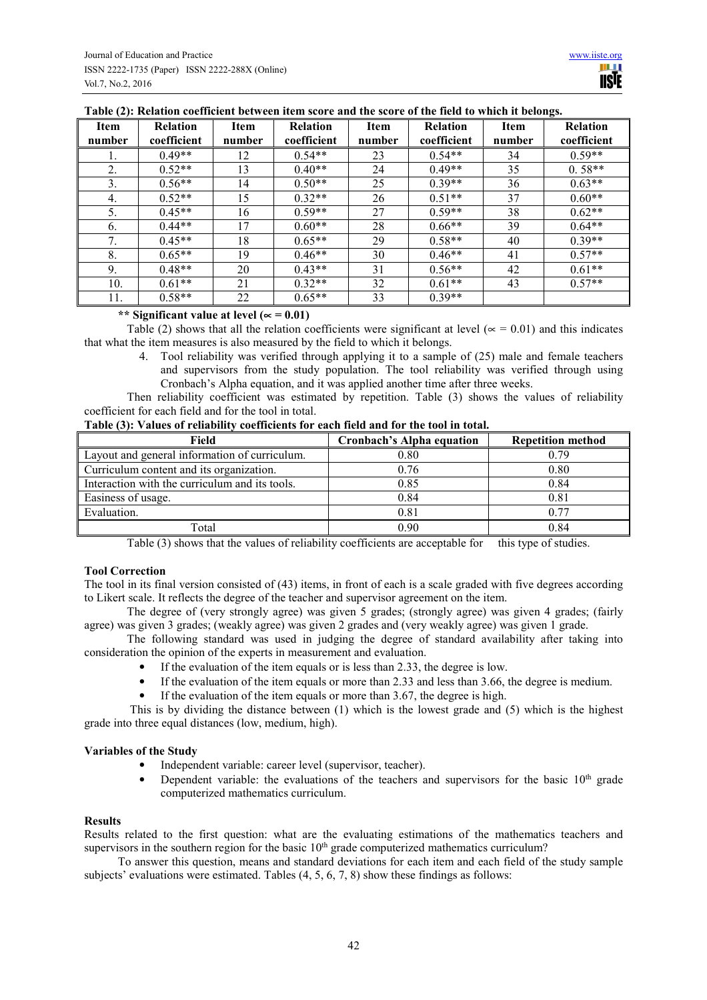| Item<br>number | <b>Relation</b><br>coefficient | Item<br>number | <b>Relation</b><br>coefficient | Item<br>number | <b>Relation</b><br>coefficient | Item<br>number | <b>Relation</b><br>coefficient |
|----------------|--------------------------------|----------------|--------------------------------|----------------|--------------------------------|----------------|--------------------------------|
|                | $0.49**$                       | 12             | $0.54**$                       | 23             | $0.54**$                       | 34             | $0.59**$                       |
| 2.             | $0.52**$                       | 13             | $0.40**$                       | 24             | $0.49**$                       | 35             | $0.58**$                       |
| 3.             | $0.56**$                       | 14             | $0.50**$                       | 25             | $0.39**$                       | 36             | $0.63**$                       |
| 4.             | $0.52**$                       | 15             | $0.32**$                       | 26             | $0.51**$                       | 37             | $0.60**$                       |
| 5.             | $0.45**$                       | 16             | $0.59**$                       | 27             | $0.59**$                       | 38             | $0.62**$                       |
| 6.             | $0.44**$                       | 17             | $0.60**$                       | 28             | $0.66**$                       | 39             | $0.64**$                       |
| 7.             | $0.45**$                       | 18             | $0.65**$                       | 29             | $0.58**$                       | 40             | $0.39**$                       |
| 8.             | $0.65**$                       | 19             | $0.46**$                       | 30             | $0.46**$                       | 41             | $0.57**$                       |
| 9.             | $0.48**$                       | 20             | $0.43**$                       | 31             | $0.56**$                       | 42             | $0.61**$                       |
| 10.            | $0.61**$                       | 21             | $0.32**$                       | 32             | $0.61**$                       | 43             | $0.57**$                       |
| 11.            | $0.58**$                       | 22             | $0.65**$                       | 33             | $0.39**$                       |                |                                |

### **Table (2): Relation coefficient between item score and the score of the field to which it belongs.**

# **\*\* Significant value at level (**∝ **= 0.01)**

Table (2) shows that all the relation coefficients were significant at level ( $\approx$  = 0.01) and this indicates that what the item measures is also measured by the field to which it belongs.

> 4. Tool reliability was verified through applying it to a sample of (25) male and female teachers and supervisors from the study population. The tool reliability was verified through using Cronbach's Alpha equation, and it was applied another time after three weeks.

Then reliability coefficient was estimated by repetition. Table (3) shows the values of reliability coefficient for each field and for the tool in total.

| Field                                          | <b>Cronbach's Alpha equation</b> | <b>Repetition method</b> |
|------------------------------------------------|----------------------------------|--------------------------|
| Layout and general information of curriculum.  | 0.80                             | 0.79                     |
| Curriculum content and its organization.       | 0.76                             | 0.80                     |
| Interaction with the curriculum and its tools. | 0.85                             | 0.84                     |
| Easiness of usage.                             | 0.84                             | 0.81                     |
| Evaluation.                                    | 0.81                             | 0.77                     |
| Total                                          | 0.90                             | 0.84                     |

Table (3) shows that the values of reliability coefficients are acceptable for this type of studies.

## **Tool Correction**

The tool in its final version consisted of (43) items, in front of each is a scale graded with five degrees according to Likert scale. It reflects the degree of the teacher and supervisor agreement on the item.

The degree of (very strongly agree) was given 5 grades; (strongly agree) was given 4 grades; (fairly agree) was given 3 grades; (weakly agree) was given 2 grades and (very weakly agree) was given 1 grade.

The following standard was used in judging the degree of standard availability after taking into consideration the opinion of the experts in measurement and evaluation.

- If the evaluation of the item equals or is less than 2.33, the degree is low.
- If the evaluation of the item equals or more than 2.33 and less than 3.66, the degree is medium.
- If the evaluation of the item equals or more than 3.67, the degree is high.

 This is by dividing the distance between (1) which is the lowest grade and (5) which is the highest grade into three equal distances (low, medium, high).

#### **Variables of the Study**

- Independent variable: career level (supervisor, teacher).
- Dependent variable: the evaluations of the teachers and supervisors for the basic  $10<sup>th</sup>$  grade computerized mathematics curriculum.

#### **Results**

Results related to the first question: what are the evaluating estimations of the mathematics teachers and supervisors in the southern region for the basic 10<sup>th</sup> grade computerized mathematics curriculum?

To answer this question, means and standard deviations for each item and each field of the study sample subjects' evaluations were estimated. Tables (4, 5, 6, 7, 8) show these findings as follows: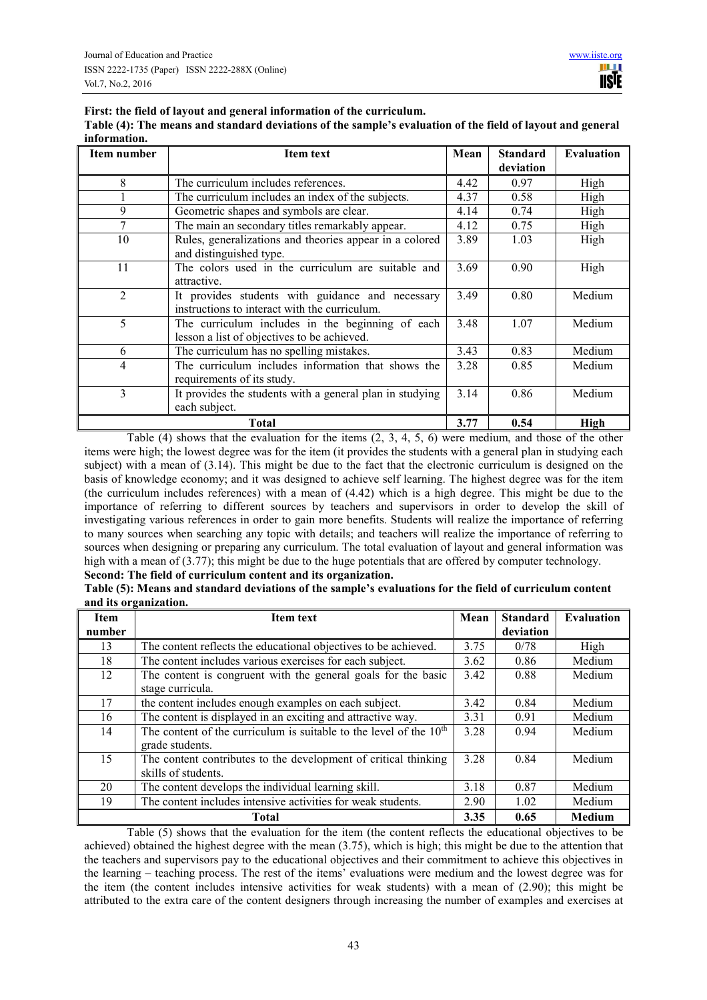**First: the field of layout and general information of the curriculum.** 

| Table (4): The means and standard deviations of the sample's evaluation of the field of layout and general |
|------------------------------------------------------------------------------------------------------------|
| information.                                                                                               |

| Item number    | <b>Item text</b>                                                                                  | Mean | <b>Standard</b><br>deviation | <b>Evaluation</b> |
|----------------|---------------------------------------------------------------------------------------------------|------|------------------------------|-------------------|
| 8              | The curriculum includes references.                                                               | 4.42 | 0.97                         | High              |
|                | The curriculum includes an index of the subjects.                                                 | 4.37 | 0.58                         | High              |
| 9              | Geometric shapes and symbols are clear.                                                           | 4.14 | 0.74                         | High              |
| 7              | The main an secondary titles remarkably appear.                                                   | 4.12 | 0.75                         | High              |
| 10             | Rules, generalizations and theories appear in a colored<br>and distinguished type.                | 3.89 | 1.03                         | High              |
| 11             | The colors used in the curriculum are suitable and<br>attractive.                                 | 3.69 | 0.90                         | High              |
| $\overline{2}$ | It provides students with guidance and necessary<br>instructions to interact with the curriculum. | 3.49 | 0.80                         | Medium            |
| 5              | The curriculum includes in the beginning of each<br>lesson a list of objectives to be achieved.   | 3.48 | 1.07                         | Medium            |
| 6              | The curriculum has no spelling mistakes.                                                          | 3.43 | 0.83                         | Medium            |
| 4              | The curriculum includes information that shows the<br>requirements of its study.                  | 3.28 | 0.85                         | Medium            |
| 3              | It provides the students with a general plan in studying<br>each subject.                         | 3.14 | 0.86                         | Medium            |
|                | <b>Total</b>                                                                                      | 3.77 | 0.54                         | High              |

Table (4) shows that the evaluation for the items  $(2, 3, 4, 5, 6)$  were medium, and those of the other items were high; the lowest degree was for the item (it provides the students with a general plan in studying each subject) with a mean of (3.14). This might be due to the fact that the electronic curriculum is designed on the basis of knowledge economy; and it was designed to achieve self learning. The highest degree was for the item (the curriculum includes references) with a mean of (4.42) which is a high degree. This might be due to the importance of referring to different sources by teachers and supervisors in order to develop the skill of investigating various references in order to gain more benefits. Students will realize the importance of referring to many sources when searching any topic with details; and teachers will realize the importance of referring to sources when designing or preparing any curriculum. The total evaluation of layout and general information was high with a mean of (3.77); this might be due to the huge potentials that are offered by computer technology.

## **Second: The field of curriculum content and its organization.**

| <b>Item</b> | $\circ$<br><b>Item text</b>                                          | Mean | <b>Standard</b> | <b>Evaluation</b> |
|-------------|----------------------------------------------------------------------|------|-----------------|-------------------|
| number      |                                                                      |      | deviation       |                   |
| 13          | The content reflects the educational objectives to be achieved.      | 3.75 | 0/78            | High              |
| 18          | The content includes various exercises for each subject.             | 3.62 | 0.86            | Medium            |
| 12          | The content is congruent with the general goals for the basic        | 3.42 | 0.88            | Medium            |
|             | stage curricula.                                                     |      |                 |                   |
| 17          | the content includes enough examples on each subject.                | 3.42 | 0.84            | Medium            |
| 16          | The content is displayed in an exciting and attractive way.          | 3.31 | 0.91            | Medium            |
| 14          | The content of the curriculum is suitable to the level of the $10th$ | 3.28 | 0.94            | Medium            |
|             | grade students.                                                      |      |                 |                   |
| 15          | The content contributes to the development of critical thinking      | 3.28 | 0.84            | Medium            |
|             | skills of students.                                                  |      |                 |                   |
| 20          | The content develops the individual learning skill.                  | 3.18 | 0.87            | Medium            |
| 19          | The content includes intensive activities for weak students.         | 2.90 | 1.02            | Medium            |
|             | <b>Total</b>                                                         | 3.35 | 0.65            | <b>Medium</b>     |

**Table (5): Means and standard deviations of the sample's evaluations for the field of curriculum content and its organization.** 

Table (5) shows that the evaluation for the item (the content reflects the educational objectives to be achieved) obtained the highest degree with the mean (3.75), which is high; this might be due to the attention that the teachers and supervisors pay to the educational objectives and their commitment to achieve this objectives in the learning – teaching process. The rest of the items' evaluations were medium and the lowest degree was for the item (the content includes intensive activities for weak students) with a mean of (2.90); this might be attributed to the extra care of the content designers through increasing the number of examples and exercises at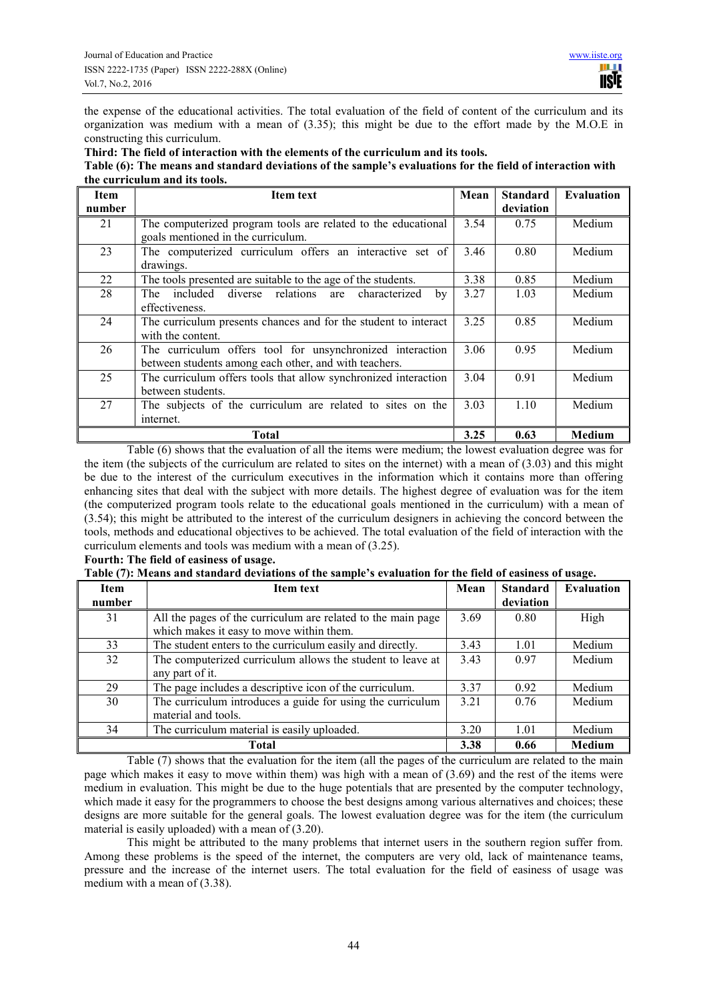the expense of the educational activities. The total evaluation of the field of content of the curriculum and its organization was medium with a mean of  $(3.35)$ ; this might be due to the effort made by the M.O.E in constructing this curriculum.

**Third: The field of interaction with the elements of the curriculum and its tools.** 

#### **Table (6): The means and standard deviations of the sample's evaluations for the field of interaction with the curriculum and its tools.**

| <b>Item</b><br>number | <b>Item text</b>                                                | Mean | <b>Standard</b><br>deviation | <b>Evaluation</b> |
|-----------------------|-----------------------------------------------------------------|------|------------------------------|-------------------|
|                       |                                                                 |      |                              |                   |
| 21                    | The computerized program tools are related to the educational   | 3.54 | 0.75                         | Medium            |
|                       | goals mentioned in the curriculum.                              |      |                              |                   |
| 23                    | The computerized curriculum offers an interactive set of        | 3.46 | 0.80                         | Medium            |
|                       | drawings.                                                       |      |                              |                   |
| 22                    | The tools presented are suitable to the age of the students.    | 3.38 | 0.85                         | Medium            |
| 28                    | diverse relations are characterized<br>included<br>The<br>by    | 3.27 | 1.03                         | Medium            |
|                       | effectiveness.                                                  |      |                              |                   |
| 24                    | The curriculum presents chances and for the student to interact | 3.25 | 0.85                         | Medium            |
|                       | with the content.                                               |      |                              |                   |
| 26                    | The curriculum offers tool for unsynchronized interaction       | 3.06 | 0.95                         | Medium            |
|                       | between students among each other, and with teachers.           |      |                              |                   |
| 25                    | The curriculum offers tools that allow synchronized interaction | 3.04 | 0.91                         | Medium            |
|                       | between students.                                               |      |                              |                   |
| 27                    | The subjects of the curriculum are related to sites on the      | 3.03 | 1.10                         | Medium            |
|                       | internet.                                                       |      |                              |                   |
|                       | Total                                                           | 3.25 | 0.63                         | Medium            |

Table (6) shows that the evaluation of all the items were medium; the lowest evaluation degree was for the item (the subjects of the curriculum are related to sites on the internet) with a mean of  $(3.03)$  and this might be due to the interest of the curriculum executives in the information which it contains more than offering enhancing sites that deal with the subject with more details. The highest degree of evaluation was for the item (the computerized program tools relate to the educational goals mentioned in the curriculum) with a mean of (3.54); this might be attributed to the interest of the curriculum designers in achieving the concord between the tools, methods and educational objectives to be achieved. The total evaluation of the field of interaction with the curriculum elements and tools was medium with a mean of (3.25).

# **Fourth: The field of easiness of usage.**

|  | Table (7): Means and standard deviations of the sample's evaluation for the field of easiness of usage. |  |  |  |  |
|--|---------------------------------------------------------------------------------------------------------|--|--|--|--|
|  |                                                                                                         |  |  |  |  |

| <b>Item</b> | <b>Item text</b>                                             | Mean | <b>Standard</b> | <b>Evaluation</b> |
|-------------|--------------------------------------------------------------|------|-----------------|-------------------|
| number      |                                                              |      | deviation       |                   |
| 31          | All the pages of the curriculum are related to the main page | 3.69 | 0.80            | High              |
|             | which makes it easy to move within them.                     |      |                 |                   |
| 33          | The student enters to the curriculum easily and directly.    | 3.43 | 1.01            | Medium            |
| 32          | The computerized curriculum allows the student to leave at   | 3.43 | 0.97            | Medium            |
|             | any part of it.                                              |      |                 |                   |
| 29          | The page includes a descriptive icon of the curriculum.      | 3.37 | 0.92            | Medium            |
| 30          | The curriculum introduces a guide for using the curriculum   | 3.21 | 0.76            | Medium            |
|             | material and tools.                                          |      |                 |                   |
| 34          | The curriculum material is easily uploaded.                  | 3.20 | 1.01            | Medium            |
|             | <b>Total</b>                                                 | 3.38 | 0.66            | Medium            |

Table (7) shows that the evaluation for the item (all the pages of the curriculum are related to the main page which makes it easy to move within them) was high with a mean of (3.69) and the rest of the items were medium in evaluation. This might be due to the huge potentials that are presented by the computer technology, which made it easy for the programmers to choose the best designs among various alternatives and choices; these designs are more suitable for the general goals. The lowest evaluation degree was for the item (the curriculum material is easily uploaded) with a mean of  $(3.20)$ .

This might be attributed to the many problems that internet users in the southern region suffer from. Among these problems is the speed of the internet, the computers are very old, lack of maintenance teams, pressure and the increase of the internet users. The total evaluation for the field of easiness of usage was medium with a mean of (3.38).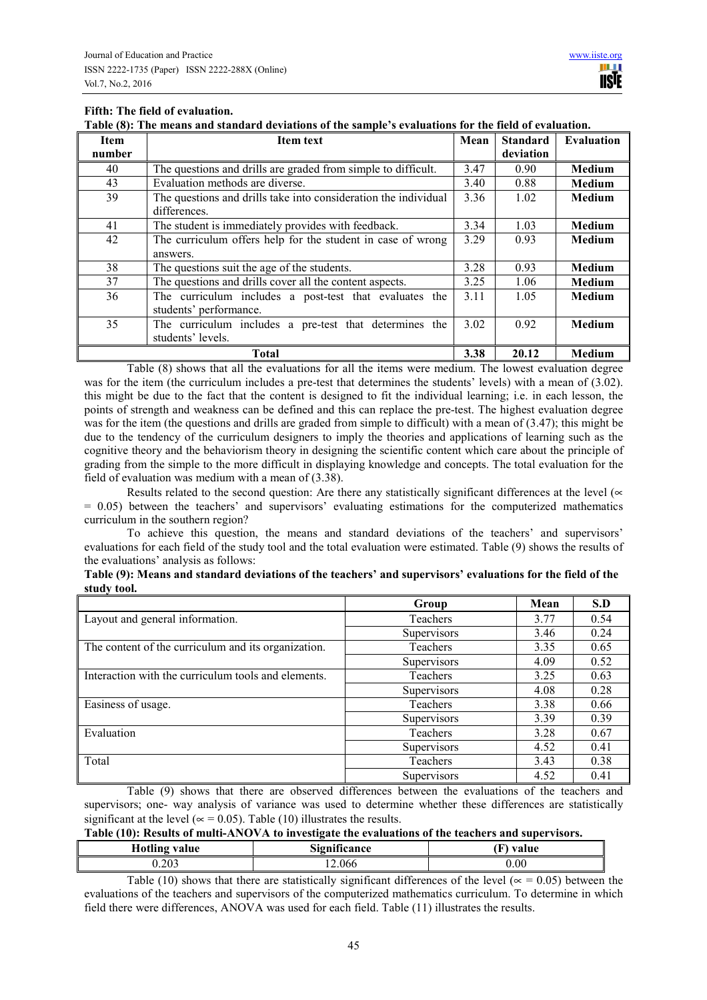# **Fifth: The field of evaluation.**

**Table (8): The means and standard deviations of the sample's evaluations for the field of evaluation.** 

| <b>Item</b> | <b>Item text</b>                                                | Mean | <b>Standard</b> | <b>Evaluation</b> |
|-------------|-----------------------------------------------------------------|------|-----------------|-------------------|
| number      |                                                                 |      | deviation       |                   |
| 40          | The questions and drills are graded from simple to difficult.   | 3.47 | 0.90            | <b>Medium</b>     |
| 43          | Evaluation methods are diverse.                                 | 3.40 | 0.88            | Medium            |
| 39          | The questions and drills take into consideration the individual | 3.36 | 1.02            | Medium            |
|             | differences.                                                    |      |                 |                   |
| 41          | The student is immediately provides with feedback.              | 3.34 | 1.03            | Medium            |
| 42          | The curriculum offers help for the student in case of wrong     | 3.29 | 0.93            | Medium            |
|             | answers.                                                        |      |                 |                   |
| 38          | The questions suit the age of the students.                     | 3.28 | 0.93            | Medium            |
| 37          | The questions and drills cover all the content aspects.         | 3.25 | 1.06            | Medium            |
| 36          | The curriculum includes a post-test that evaluates the          | 3.11 | 1.05            | <b>Medium</b>     |
|             | students' performance.                                          |      |                 |                   |
| 35          | The curriculum includes a pre-test that determines the          | 3.02 | 0.92            | <b>Medium</b>     |
|             | students' levels.                                               |      |                 |                   |
|             | Total                                                           | 3.38 | 20.12           | Medium            |

Table (8) shows that all the evaluations for all the items were medium. The lowest evaluation degree was for the item (the curriculum includes a pre-test that determines the students' levels) with a mean of (3.02). this might be due to the fact that the content is designed to fit the individual learning; i.e. in each lesson, the points of strength and weakness can be defined and this can replace the pre-test. The highest evaluation degree was for the item (the questions and drills are graded from simple to difficult) with a mean of (3.47); this might be due to the tendency of the curriculum designers to imply the theories and applications of learning such as the cognitive theory and the behaviorism theory in designing the scientific content which care about the principle of grading from the simple to the more difficult in displaying knowledge and concepts. The total evaluation for the field of evaluation was medium with a mean of (3.38).

Results related to the second question: Are there any statistically significant differences at the level ( $\propto$  $= 0.05$ ) between the teachers' and supervisors' evaluating estimations for the computerized mathematics curriculum in the southern region?

To achieve this question, the means and standard deviations of the teachers' and supervisors' evaluations for each field of the study tool and the total evaluation were estimated. Table (9) shows the results of the evaluations' analysis as follows:

| Table (9): Means and standard deviations of the teachers' and supervisors' evaluations for the field of the |  |
|-------------------------------------------------------------------------------------------------------------|--|
| study tool.                                                                                                 |  |

|                                                     | Group       | Mean | S.D  |
|-----------------------------------------------------|-------------|------|------|
| Layout and general information.                     | Teachers    | 3.77 | 0.54 |
|                                                     | Supervisors | 3.46 | 0.24 |
| The content of the curriculum and its organization. | Teachers    | 3.35 | 0.65 |
|                                                     | Supervisors | 4.09 | 0.52 |
| Interaction with the curriculum tools and elements. | Teachers    | 3.25 | 0.63 |
|                                                     | Supervisors | 4.08 | 0.28 |
| Easiness of usage.                                  | Teachers    | 3.38 | 0.66 |
|                                                     | Supervisors | 3.39 | 0.39 |
| Evaluation                                          | Teachers    | 3.28 | 0.67 |
|                                                     | Supervisors | 4.52 | 0.41 |
| Total                                               | Teachers    | 3.43 | 0.38 |
|                                                     | Supervisors | 4.52 | 0.41 |

Table (9) shows that there are observed differences between the evaluations of the teachers and supervisors; one- way analysis of variance was used to determine whether these differences are statistically significant at the level ( $\approx$  = 0.05). Table (10) illustrates the results.

| Table (10): Results of multi-ANOVA to investigate the evaluations of the teachers and supervisors. |                     |           |  |  |  |  |
|----------------------------------------------------------------------------------------------------|---------------------|-----------|--|--|--|--|
| <b>Hotling value</b>                                                                               | <b>Significance</b> | (F) value |  |  |  |  |
| 0.203                                                                                              | 12.066              | 0.00      |  |  |  |  |

Table (10) shows that there are statistically significant differences of the level ( $\alpha$  = 0.05) between the evaluations of the teachers and supervisors of the computerized mathematics curriculum. To determine in which field there were differences, ANOVA was used for each field. Table (11) illustrates the results.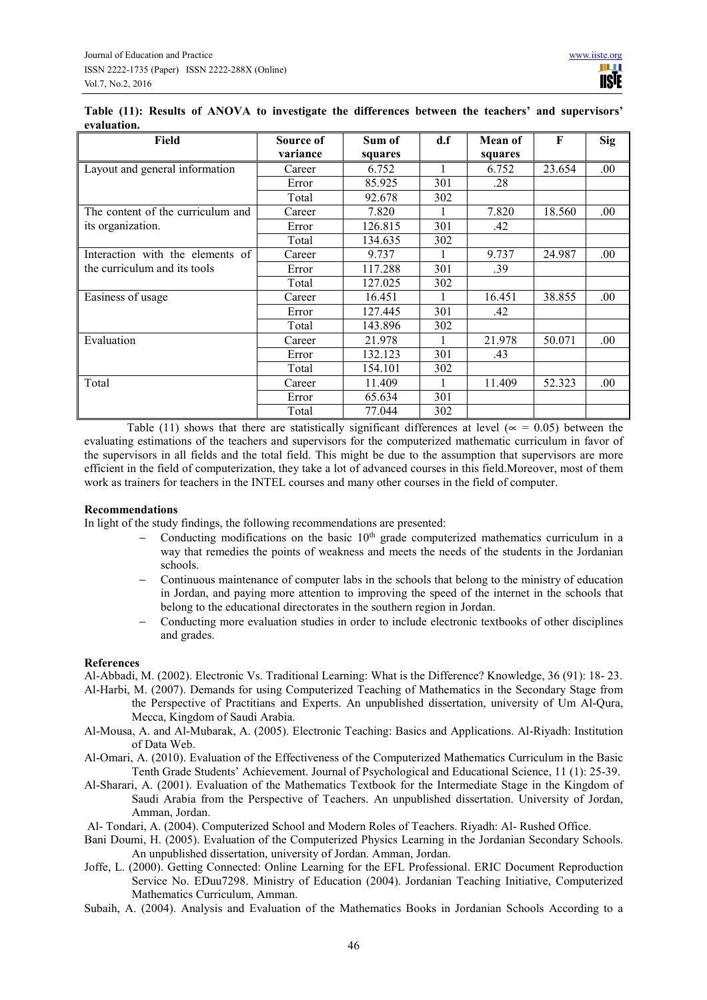|             |  |  |  |  |  | Table (11): Results of ANOVA to investigate the differences between the teachers' and supervisors' |
|-------------|--|--|--|--|--|----------------------------------------------------------------------------------------------------|
| evaluation. |  |  |  |  |  |                                                                                                    |

| Field                             | Source of<br>variance | Sum of<br>squares | d.f | Mean of<br>squares | F      | <b>Sig</b> |
|-----------------------------------|-----------------------|-------------------|-----|--------------------|--------|------------|
| Layout and general information    | Career                | 6.752             |     | 6.752              | 23.654 | .00        |
|                                   | Error                 | 85.925            | 301 | .28                |        |            |
|                                   | Total                 | 92.678            | 302 |                    |        |            |
| The content of the curriculum and | Career                | 7.820             |     | 7.820              | 18.560 | .00.       |
| its organization.                 | Error                 | 126.815           | 301 | .42                |        |            |
|                                   | Total                 | 134.635           | 302 |                    |        |            |
| Interaction with the elements of  | Career                | 9.737             |     | 9.737              | 24.987 | .00.       |
| the curriculum and its tools      | Error                 | 117.288           | 301 | .39                |        |            |
|                                   | Total                 | 127.025           | 302 |                    |        |            |
| Easiness of usage                 | Career                | 16.451            |     | 16.451             | 38.855 | .00.       |
|                                   | Error                 | 127.445           | 301 | .42                |        |            |
|                                   | Total                 | 143.896           | 302 |                    |        |            |
| Evaluation                        | Career                | 21.978            |     | 21.978             | 50.071 | .00.       |
|                                   | Error                 | 132.123           | 301 | .43                |        |            |
|                                   | Total                 | 154.101           | 302 |                    |        |            |
| Total                             | Career                | 11.409            |     | 11.409             | 52.323 | .00.       |
|                                   | Error                 | 65.634            | 301 |                    |        |            |
|                                   | Total                 | 77.044            | 302 |                    |        |            |

Table (11) shows that there are statistically significant differences at level ( $\approx$  = 0.05) between the evaluating estimations of the teachers and supervisors for the computerized mathematic curriculum in favor of the supervisors in all fields and the total field. This might be due to the assumption that supervisors are more efficient in the field of computerization, they take a lot of advanced courses in this field.Moreover, most of them work as trainers for teachers in the INTEL courses and many other courses in the field of computer.

# **Recommendations**

In light of the study findings, the following recommendations are presented:

- Conducting modifications on the basic  $10<sup>th</sup>$  grade computerized mathematics curriculum in a way that remedies the points of weakness and meets the needs of the students in the Jordanian schools.
- − Continuous maintenance of computer labs in the schools that belong to the ministry of education in Jordan, and paying more attention to improving the speed of the internet in the schools that belong to the educational directorates in the southern region in Jordan.
- − Conducting more evaluation studies in order to include electronic textbooks of other disciplines and grades.

#### **References**

Al-Abbadi, M. (2002). Electronic Vs. Traditional Learning: What is the Difference? Knowledge, 36 (91): 18- 23.

- Al-Harbi, M. (2007). Demands for using Computerized Teaching of Mathematics in the Secondary Stage from the Perspective of Practitians and Experts. An unpublished dissertation, university of Um Al-Qura, Mecca, Kingdom of Saudi Arabia.
- Al-Mousa, A. and Al-Mubarak, A. (2005). Electronic Teaching: Basics and Applications. Al-Riyadh: Institution of Data Web.
- Al-Omari, A. (2010). Evaluation of the Effectiveness of the Computerized Mathematics Curriculum in the Basic Tenth Grade Students' Achievement. Journal of Psychological and Educational Science, 11 (1): 25-39.
- Al-Sharari, A. (2001). Evaluation of the Mathematics Textbook for the Intermediate Stage in the Kingdom of Saudi Arabia from the Perspective of Teachers. An unpublished dissertation. University of Jordan, Amman, Jordan.
- Al- Tondari, A. (2004). Computerized School and Modern Roles of Teachers. Riyadh: Al- Rushed Office.
- Bani Doumi, H. (2005). Evaluation of the Computerized Physics Learning in the Jordanian Secondary Schools. An unpublished dissertation, university of Jordan. Amman, Jordan.
- Joffe, L. (2000). Getting Connected: Online Learning for the EFL Professional. ERIC Document Reproduction Service No. EDuu7298. Ministry of Education (2004). Jordanian Teaching Initiative, Computerized Mathematics Curriculum, Amman.
- Subaih, A. (2004). Analysis and Evaluation of the Mathematics Books in Jordanian Schools According to a